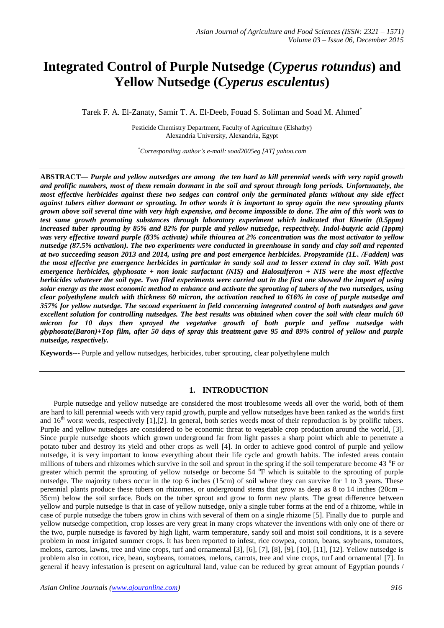# **Integrated Control of Purple Nutsedge (***Cyperus rotundus***) and Yellow Nutsedge (***Cyperus esculentus***)**

Tarek F. A. El-Zanaty, Samir T. A. El-Deeb, Fouad S. Soliman and Soad M. Ahmed<sup>\*</sup>

Pesticide Chemistry Department, Faculty of Agriculture (Elshatby) Alexandria University, Alexandria, Egypt

*\*Corresponding author's e-mail: soad2005eg [AT] yahoo.com*

**ABSTRACT***— Purple and yellow nutsedges are among the ten hard to kill perennial weeds with very rapid growth and prolific numbers, most of them remain dormant in the soil and sprout through long periods. Unfortunately, the most effective herbicides against these two sedges can control only the germinated plants without any side effect against tubers either dormant or sprouting. In other words it is important to spray again the new sprouting plants grown above soil several time with very high expensive, and become impossible to done. The aim of this work was to test same growth promoting substances through laboratory experiment which indicated that Kinetin (0.5ppm) increased tuber sprouting by 85% and 82% for purple and yellow nutsedge, respectively. Indol-butyric acid (1ppm) was very effective toward purple (83% activate) while thiourea at 2% concentration was the most activator to yellow nutsedge (87.5% activation). The two experiments were conducted in greenhouse in sandy and clay soil and repented at two succeeding season 2013 and 2014, using pre and post emergence herbicides. Propyzamide (1L. /Fadden) was the most effective pre emergence herbicides in particular in sandy soil and to lesser extend in clay soil. With post emergence herbicides, glyphosate + non ionic surfactant (NIS) and Halosulferon + NIS were the most effective herbicides whatever the soil type. Two filed experiments were carried out in the first one showed the import of using solar energy as the most economic method to enhance and activate the sprouting of tubers of the two nutsedges, using clear polyethylene mulch with thickness 60 micron, the activation reached to 616% in case of purple nutsedge and 357% for yellow nutsedge. The second experiment in field concerning integrated control of both nutsedges and gave excellent solution for controlling nutsedges. The best results was obtained when cover the soil with clear mulch 60 micron for 10 days then sprayed the vegetative growth of both purple and yellow nutsedge with glyphosate(Baron)+Top film, after 50 days of spray this treatment gave 95 and 89% control of yellow and purple nutsedge, respectively.* 

**Keywords---** Purple and yellow nutsedges, herbicides, tuber sprouting, clear polyethylene mulch

# **1. INTRODUCTION**

Purple nutsedge and yellow nutsedge are considered the most troublesome weeds all over the world, both of them are hard to kill perennial weeds with very rapid growth, purple and yellow nutsedges have been ranked as the world's first and  $16<sup>th</sup>$  worst weeds, respectively [1], [2]. In general, both series weeds most of their reproduction is by prolific tubers. Purple and yellow nutsedges are considered to be economic threat to vegetable crop production around the world, [3]. Since purple nutsedge shoots which grown underground far from light passes a sharp point which able to penetrate a potato tuber and destroy its yield and other crops as well [4]. In order to achieve good control of purple and yellow nutsedge, it is very important to know everything about their life cycle and growth habits. The infested areas contain millions of tubers and rhizomes which survive in the soil and sprout in the spring if the soil temperature become 43 °F or greater which permit the sprouting of yellow nutsedge or become  $54^\circ$ F which is suitable to the sprouting of purple nutsedge. The majority tubers occur in the top 6 inches (15cm) of soil where they can survive for 1 to 3 years. These perennial plants produce these tubers on rhizomes, or underground stems that grow as deep as 8 to 14 inches (20cm – 35cm) below the soil surface. Buds on the tuber sprout and grow to form new plants. The great difference between yellow and purple nutsedge is that in case of yellow nutsedge, only a single tuber forms at the end of a rhizome, while in case of purple nutsedge the tubers grow in chins with several of them on a single rhizome [5]. Finally due to purple and yellow nutsedge competition, crop losses are very great in many crops whatever the inventions with only one of there or the two, purple nutsedge is favored by high light, warm temperature, sandy soil and moist soil conditions, it is a severe problem in most irrigated summer crops. It has been reported to infest, rice cowpea, cotton, beans, soybeans, tomatoes, melons, carrots, lawns, tree and vine crops, turf and ornamental [3], [6], [7], [8], [9], [10], [11], [12]. Yellow nutsedge is problem also in cotton, rice, bean, soybeans, tomatoes, melons, carrots, tree and vine crops, turf and ornamental [7]. In general if heavy infestation is present on agricultural land, value can be reduced by great amount of Egyptian pounds /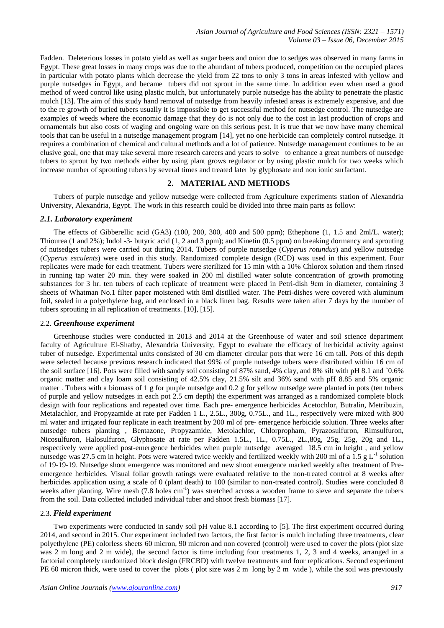Fadden. Deleterious losses in potato yield as well as sugar beets and onion due to sedges was observed in many farms in Egypt. These great losses in many crops was due to the abundant of tubers produced, competition on the occupied places in particular with potato plants which decrease the yield from 22 tons to only 3 tons in areas infested with yellow and purple nutsedges in Egypt, and became tubers did not sprout in the same time. In addition even when used a good method of weed control like using plastic mulch, but unfortunately purple nutsedge has the ability to penetrate the plastic mulch [13]. The aim of this study hand removal of nutsedge from heavily infested areas is extremely expensive, and due to the re growth of buried tubers usually it is impossible to get successful method for nutsedge control. The nutsedge are examples of weeds where the economic damage that they do is not only due to the cost in last production of crops and ornamentals but also costs of waging and ongoing ware on this serious pest. It is true that we now have many chemical tools that can be useful in a nutsedge management program [14], yet no one herbicide can completely control nutsedge. It requires a combination of chemical and cultural methods and a lot of patience. Nutsedge management continues to be an elusive goal, one that may take several more research careers and years to solve to enhance a great numbers of nutsedge tubers to sprout by two methods either by using plant grows regulator or by using plastic mulch for two weeks which increase number of sprouting tubers by several times and treated later by glyphosate and non ionic surfactant.

# **2. MATERIAL AND METHODS**

Tubers of purple nutsedge and yellow nutsedge were collected from Agriculture experiments station of Alexandria University, Alexandria, Egypt. The work in this research could be divided into three main parts as follow:

### *2.1. Laboratory experiment*

The effects of Gibberellic acid (GA3) (100, 200, 300, 400 and 500 ppm); Ethephone (1, 1.5 and 2ml/L. water); Thiourea (1 and 2%); Indol -3- butyric acid (1, 2 and 3 ppm); and Kinetin (0.5 ppm) on breaking dormancy and sprouting of nutsedges tubers were carried out during 2014. Tubers of purple nutsedge (*Cyperus rotundus*) and yellow nutsedge (*Cyperus esculents*) were used in this study. Randomized complete design (RCD) was used in this experiment. Four replicates were made for each treatment. Tubers were sterilized for 15 min with a 10% Chlorox solution and them rinsed in running tap water 20 min. they were soaked in 200 ml distilled water solute concentration of growth promoting substances for 3 hr. ten tubers of each replicate of treatment were placed in Petri-dish 9cm in diameter, containing 3 sheets of Whatman No.1 filter paper moistened with 8ml distilled water. The Petri-dishes were covered with aluminum foil, sealed in a polyethylene bag, and enclosed in a black linen bag. Results were taken after 7 days by the number of tubers sprouting in all replication of treatments. [10], [15].

#### 2.2. *Greenhouse experiment*

Greenhouse studies were conducted in 2013 and 2014 at the Greenhouse of water and soil science department faculty of Agriculture El-Shatby, Alexandria University, Egypt to evaluate the efficacy of herbicidal activity against tuber of nutsedge. Experimental units consisted of 30 cm diameter circular pots that were 16 cm tall. Pots of this depth were selected because previous research indicated that 99% of purple nutsedge tubers were distributed within 16 cm of the soil surface [16]. Pots were filled with sandy soil consisting of 87% sand, 4% clay, and 8% silt with pH 8.1 and `0.6% organic matter and clay loam soil consisting of 42.5% clay, 21.5% silt and 36% sand with pH 8.85 and 5% organic matter . Tubers with a biomass of 1 g for purple nutsedge and 0.2 g for yellow nutsedge were planted in pots (ten tubers of purple and yellow nutsedges in each pot 2.5 cm depth) the experiment was arranged as a randomized complete block design with four replications and repeated over time. Each pre- emergence herbicides Acetochlor, Butralin, Metribuzin, Metalachlor, and Propyzamide at rate per Fadden 1 L., 2.5L., 300g, 0.75L., and 1L., respectively were mixed with 800 ml water and irrigated four replicate in each treatment by 200 ml of pre- emergence herbicide solution. Three weeks after nutsedge tubers planting , Bentazone, Propyzamide, Metolachlor, Chlorpropham, Pyrazosulfuron, Rimsulfuron, Nicosulfuron, Halosulfuron, Glyphosate at rate per Fadden 1.5L., 1L., 0.75L., 2L.,80g, 25g, 25g, 20g and 1L., respectively were applied post-emergence herbicides when purple nutsedge averaged 18.5 cm in height , and yellow nutsedge was 27.5 cm in height. Pots were watered twice weekly and fertilized weekly with 200 ml of a  $1.5 \text{ g L}^{-1}$  solution of 19-19-19. Nutsedge shoot emergence was monitored and new shoot emergence marked weekly after treatment of Preemergence herbicides. Visual foliar growth ratings were evaluated relative to the non-treated control at 8 weeks after herbicides application using a scale of 0 (plant death) to 100 (similar to non-treated control). Studies were concluded 8 weeks after planting. Wire mesh (7.8 holes cm<sup>-1</sup>) was stretched across a wooden frame to sieve and separate the tubers from the soil. Data collected included individual tuber and shoot fresh biomass [17].

## 2.3. *Field experiment*

Two experiments were conducted in sandy soil pH value 8.1 according to [5]. The first experiment occurred during 2014, and second in 2015. Our experiment included two factors, the first factor is mulch including three treatments, clear polyethylene (PE) colorless sheets 60 micron, 90 micron and non covered (control) were used to cover the plots (plot size was 2 m long and 2 m wide), the second factor is time including four treatments 1, 2, 3 and 4 weeks, arranged in a factorial completely randomized block design (FRCBD) with twelve treatments and four replications. Second experiment PE 60 micron thick, were used to cover the plots ( plot size was 2 m long by 2 m wide ), while the soil was previously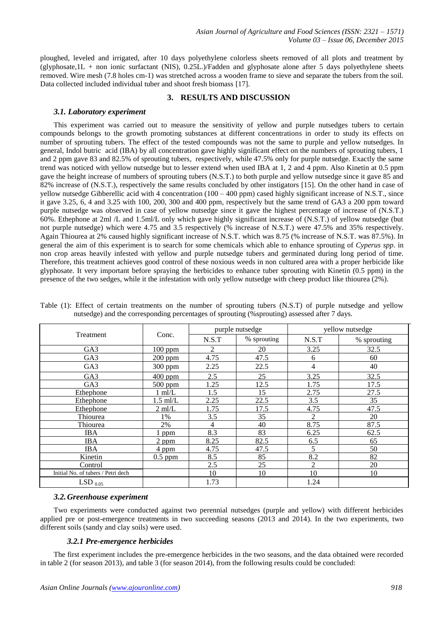ploughed, leveled and irrigated, after 10 days polyethylene colorless sheets removed of all plots and treatment by (glyphosate,1L + non ionic surfactant (NIS), 0.25L.)/Fadden and glyphosate alone after 5 days polyethylene sheets removed. Wire mesh (7.8 holes cm-1) was stretched across a wooden frame to sieve and separate the tubers from the soil. Data collected included individual tuber and shoot fresh biomass [17].

# **3. RESULTS AND DISCUSSION**

#### *3.1. Laboratory experiment*

This experiment was carried out to measure the sensitivity of yellow and purple nutsedges tubers to certain compounds belongs to the growth promoting substances at different concentrations in order to study its effects on number of sprouting tubers. The effect of the tested compounds was not the same to purple and yellow nutsedges. In general, Indol butric acid (IBA) by all concentration gave highly significant effect on the numbers of sprouting tubers, 1 and 2 ppm gave 83 and 82.5% of sprouting tubers, respectively, while 47.5% only for purple nutsedge. Exactly the same trend was noticed with yellow nutsedge but to lesser extend when used IBA at 1, 2 and 4 ppm. Also Kinetin at 0.5 ppm gave the height increase of numbers of sprouting tubers (N.S.T.) to both purple and yellow nutsedge since it gave 85 and 82% increase of (N.S.T.), respectively the same results concluded by other instigators [15]. On the other hand in case of yellow nutsedge Gibberellic acid with 4 concentration  $(100 - 400$  ppm) cased highly significant increase of N.S.T., since it gave 3.25, 6, 4 and 3.25 with 100, 200, 300 and 400 ppm, respectively but the same trend of GA3 a 200 ppm toward purple nutsedge was observed in case of yellow nutsedge since it gave the highest percentage of increase of (N.S.T.) 60%. Ethephone at 2ml /L and 1.5ml/L only which gave highly significant increase of (N.S.T.) of yellow nutsedge (but not purple nutsedge) which were 4.75 and 3.5 respectively (% increase of N.S.T.) were 47.5% and 35% respectively. Again Thiourea at 2% caused highly significant increase of N.S.T. which was 8.75 (% increase of N.S.T. was 87.5%). In general the aim of this experiment is to search for some chemicals which able to enhance sprouting of *Cyperus spp*. in non crop areas heavily infested with yellow and purple nutsedge tubers and germinated during long period of time. Therefore, this treatment achieves good control of these noxious weeds in non cultured area with a proper herbicide like glyphosate. It very important before spraying the herbicides to enhance tuber sprouting with Kinetin (0.5 ppm) in the presence of the two sedges, while it the infestation with only yellow nutsedge with cheep product like thiourea (2%).

|                                    |                  |                | purple nutsedge |                | yellow nutsedge |
|------------------------------------|------------------|----------------|-----------------|----------------|-----------------|
| Treatment                          | Conc.            | N.S.T          | % sprouting     | N.S.T          | % sprouting     |
| GA <sub>3</sub>                    | $100$ ppm        | $\mathfrak{D}$ | 20              | 3.25           | 32.5            |
| GA3                                | $200$ ppm        | 4.75           | 47.5            | 6              | 60              |
| GA3                                | 300 ppm          | 2.25           | 22.5            | 4              | 40              |
| GA <sub>3</sub>                    | 400 ppm          | 2.5            | 25              | 3.25           | 32.5            |
| GA <sub>3</sub>                    | $500$ ppm        | 1.25           | 12.5            | 1.75           | 17.5            |
| Ethephone                          | $1 \text{ ml/L}$ | 1.5            | 15              | 2.75           | 27.5            |
| Ethephone                          | $1.5$ ml/L       | 2.25           | 22.5            | 3.5            | 35              |
| Ethephone                          | $2 \text{ ml/L}$ | 1.75           | 17.5            | 4.75           | 47.5            |
| Thiourea                           | 1%               | 3.5            | 35              | $\overline{c}$ | 20              |
| Thiourea                           | 2%               | $\overline{4}$ | 40              | 8.75           | 87.5            |
| <b>IBA</b>                         | ppm              | 8.3            | 83              | 6.25           | 62.5            |
| <b>IBA</b>                         | $2$ ppm          | 8.25           | 82.5            | 6.5            | 65              |
| <b>IBA</b>                         | $4$ ppm          | 4.75           | 47.5            |                | 50              |
| Kinetin                            | $0.5$ ppm        | 8.5            | 85              | 8.2            | 82              |
| Control                            |                  | 2.5            | 25              | $\overline{c}$ | 20              |
| Initial No. of tubers / Petri dech |                  | 10             | 10              | 10             | 10              |
| LSD $_{0.05}$                      |                  | 1.73           |                 | 1.24           |                 |

Table (1): Effect of certain treatments on the number of sprouting tubers (N.S.T) of purple nutsedge and yellow nutsedge) and the corresponding percentages of sprouting (%sprouting) assessed after 7 days.

#### *3.2.Greenhouse experiment*

Two experiments were conducted against two perennial nutsedges (purple and yellow) with different herbicides applied pre or post-emergence treatments in two succeeding seasons (2013 and 2014). In the two experiments, two different soils (sandy and clay soils) were used.

## *3.2.1 Pre-emergence herbicides*

The first experiment includes the pre-emergence herbicides in the two seasons, and the data obtained were recorded in table 2 (for season 2013), and table 3 (for season 2014), from the following results could be concluded: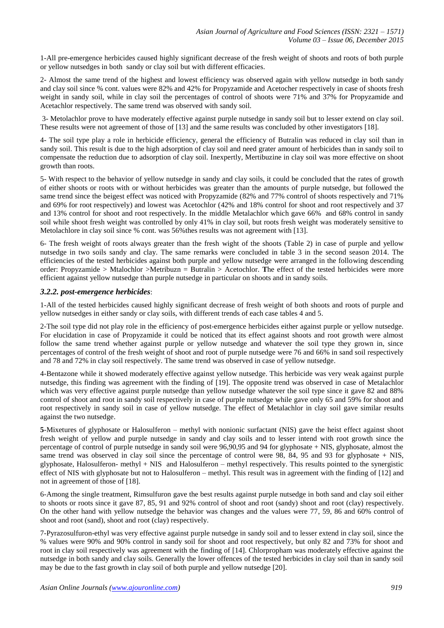1-All pre-emergence herbicides caused highly significant decrease of the fresh weight of shoots and roots of both purple or yellow nutsedges in both sandy or clay soil but with different efficacies.

2- Almost the same trend of the highest and lowest efficiency was observed again with yellow nutsedge in both sandy and clay soil since % cont. values were 82% and 42% for Propyzamide and Acetocher respectively in case of shoots fresh weight in sandy soil, while in clay soil the percentages of control of shoots were 71% and 37% for Propyzamide and Acetachlor respectively. The same trend was observed with sandy soil.

3- Metolachlor prove to have moderately effective against purple nutsedge in sandy soil but to lesser extend on clay soil. These results were not agreement of those of [13] and the same results was concluded by other investigators [18].

4- The soil type play a role in herbicide efficiency, general the efficiency of Butralin was reduced in clay soil than in sandy soil. This result is due to the high adsorption of clay soil and need grater amount of herbicides than in sandy soil to compensate the reduction due to adsorption of clay soil. Inexpertly, Mertibuzine in clay soil was more effective on shoot growth than roots.

5- With respect to the behavior of yellow nutsedge in sandy and clay soils, it could be concluded that the rates of growth of either shoots or roots with or without herbicides was greater than the amounts of purple nutsedge, but followed the same trend since the beigest effect was noticed with Propyzamide (82% and 77% control of shoots respectively and 71% and 69% for root respectively) and lowest was Acetochlor (42% and 18% control for shoot and root respectively and 37 and 13% control for shoot and root respectively. In the middle Metalachlor which gave 66% and 68% control in sandy soil while shoot fresh weight was controlled by only 41% in clay soil, but roots fresh weight was moderately sensitive to Metolachlore in clay soil since % cont. was 56% thes results was not agreement with [13].

6- The fresh weight of roots always greater than the fresh wight of the shoots (Table 2) in case of purple and yellow nutsedge in two soils sandy and clay. The same remarks were concluded in table 3 in the second season 2014. The efficiencies of the tested herbicides against both purple and yellow nutsedge were arranged in the following descending order: Propyzamide > Mtalochlor >Metribuzn = Butralin > Acetochlor. **T**he effect of the tested herbicides were more efficient against yellow nutsedge than purple nutsedge in particular on shoots and in sandy soils.

# *3.2.2. post-emergence herbicides*:

1-All of the tested herbicides caused highly significant decrease of fresh weight of both shoots and roots of purple and yellow nutsedges in either sandy or clay soils, with different trends of each case tables 4 and 5.

2-The soil type did not play role in the efficiency of post-emergence herbicides either against purple or yellow nutsedge. For elucidation in case of Propyzamide it could be noticed that its effect against shoots and root growth were almost follow the same trend whether against purple or yellow nutsedge and whatever the soil type they grown in, since percentages of control of the fresh weight of shoot and root of purple nutsedge were 76 and 66% in sand soil respectively and 78 and 72% in clay soil respectively. The same trend was observed in case of yellow nutsedge.

4-Bentazone while it showed moderately effective against yellow nutsedge. This herbicide was very weak against purple nutsedge, this finding was agreement with the finding of [19]. The opposite trend was observed in case of Metalachlor which was very effective against purple nutsedge than yellow nutsedge whatever the soil type since it gave 82 and 88% control of shoot and root in sandy soil respectively in case of purple nutsedge while gave only 65 and 59% for shoot and root respectively in sandy soil in case of yellow nutsedge. The effect of Metalachlor in clay soil gave similar results against the two nutsedge.

**5**-Mixetures of glyphosate or Halosulferon – methyl with nonionic surfactant (NIS) gave the heist effect against shoot fresh weight of yellow and purple nutsedge in sandy and clay soils and to lesser intend with root growth since the percentage of control of purple nutsedge in sandy soil were 96,90,95 and 94 for glyphosate + NIS, glyphosate, almost the same trend was observed in clay soil since the percentage of control were 98, 84, 95 and 93 for glyphosate  $+$  NIS, glyphosate, Halosulferon- methyl + NIS and Halosulferon – methyl respectively. This results pointed to the synergistic effect of NIS with glyphosate but not to Halosulferon – methyl. This result was in agreement with the finding of [12] and not in agreement of those of [18].

6-Among the single treatment, Rimsulfuron gave the best results against purple nutsedge in both sand and clay soil either to shoots or roots since it gave 87, 85, 91 and 92% control of shoot and root (sandy) shoot and root (clay) respectively. On the other hand with yellow nutsedge the behavior was changes and the values were 77, 59, 86 and 60% control of shoot and root (sand), shoot and root (clay) respectively.

7-Pyrazosulfuron-ethyl was very effective against purple nutsedge in sandy soil and to lesser extend in clay soil, since the % values were 90% and 90% control in sandy soil for shoot and root respectively, but only 82 and 73% for shoot and root in clay soil respectively was agreement with the finding of [14]. Chlorpropham was moderately effective against the nutsedge in both sandy and clay soils. Generally the lower offences of the tested herbicides in clay soil than in sandy soil may be due to the fast growth in clay soil of both purple and yellow nutsedge [20].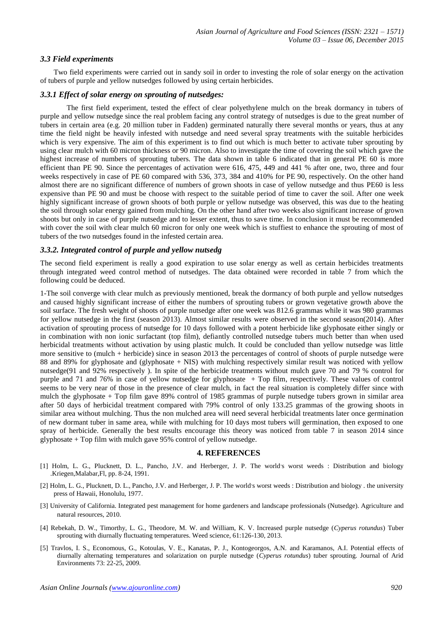## *3.3 Field experiments*

Two field experiments were carried out in sandy soil in order to investing the role of solar energy on the activation of tubers of purple and yellow nutsedges followed by using certain herbicides.

## *3.3.1 Effect of solar energy on sprouting of nutsedges:*

The first field experiment, tested the effect of clear polyethylene mulch on the break dormancy in tubers of purple and yellow nutsedge since the real problem facing any control strategy of nutsedges is due to the great number of tubers in certain area (e.g. 20 million tuber in Fadden) germinated naturally there several months or years, thus at any time the field night be heavily infested with nutsedge and need several spray treatments with the suitable herbicides which is very expensive. The aim of this experiment is to find out which is much better to activate tuber sprouting by using clear mulch with 60 micron thickness or 90 micron. Also to investigate the time of covering the soil which gave the highest increase of numbers of sprouting tubers. The data shown in table 6 indicated that in general PE 60 is more efficient than PE 90. Since the percentages of activation were 616, 475, 449 and 441 % after one, two, three and four weeks respectively in case of PE 60 compared with 536, 373, 384 and 410% for PE 90, respectively. On the other hand almost there are no significant difference of numbers of grown shoots in case of yellow nutsedge and thus PE60 is less expensive than PE 90 and must be choose with respect to the suitable period of time to caver the soil. After one week highly significant increase of grown shoots of both purple or yellow nutsedge was observed, this was due to the heating the soil through solar energy gained from mulching. On the other hand after two weeks also significant increase of grown shoots but only in case of purple nutsedge and to lesser extent, thus to save time. In conclusion it must be recommended with cover the soil with clear mulch 60 micron for only one week which is stuffiest to enhance the sprouting of most of tubers of the two nutsedges found in the infested certain area.

#### *3.3.2. Integrated control of purple and yellow nutsedg*

The second field experiment is really a good expiration to use solar energy as well as certain herbicides treatments through integrated weed control method of nutsedges. The data obtained were recorded in table 7 from which the following could be deduced.

1-The soil converge with clear mulch as previously mentioned, break the dormancy of both purple and yellow nutsedges and caused highly significant increase of either the numbers of sprouting tubers or grown vegetative growth above the soil surface. The fresh weight of shoots of purple nutsedge after one week was 812.6 grammas while it was 980 grammas for yellow nutsedge in the first (season 2013). Almost similar results were observed in the second season(2014). After activation of sprouting process of nutsedge for 10 days followed with a potent herbicide like glyphosate either singly or in combination with non ionic surfactant (top film), defiantly controlled nutsedge tubers much better than when used herbicidal treatments without activation by using plastic mulch. It could be concluded than yellow nutsedge was little more sensitive to (mulch + herbicide) since in season 2013 the percentages of control of shoots of purple nutsedge were 88 and 89% for glyphosate and (glyphosate + NIS) with mulching respectively similar result was noticed with yellow nutsedge(91 and 92% respectively ). In spite of the herbicide treatments without mulch gave 70 and 79 % control for purple and 71 and 76% in case of yellow nutsedge for glyphosate + Top film, respectively. These values of control seems to be very near of those in the presence of clear mulch, in fact the real situation is completely differ since with mulch the glyphosate + Top film gave 89% control of 1985 grammas of purple nutsedge tubers grown in similar area after 50 days of herbicidal treatment compared with 79% control of only 133.25 grammas of the growing shoots in similar area without mulching. Thus the non mulched area will need several herbicidal treatments later once germination of new dormant tuber in same area, while with mulching for 10 days most tubers will germination, then exposed to one spray of herbicide. Generally the best results encourage this theory was noticed from table 7 in season 2014 since glyphosate + Top film with mulch gave 95% control of yellow nutsedge.

#### **4. REFERENCES**

- [1] Holm, L. G., Plucknett, D. L., Pancho, J.V. and Herberger, J. P. The world's worst weeds : Distribution and biology .Kriegen,Malabar,Fl, pp. 8-24, 1991.
- [2] Holm, L. G., Plucknett, D. L., Pancho, J.V. and Herberger, J. P. The world's worst weeds : Distribution and biology . the university press of Hawaii, Honolulu, 1977.
- [3] University of California. Integrated pest management for home gardeners and landscape professionals (Nutsedge). Agriculture and natural resources, 2010.
- [4] Rebekah, D. W., Timorthy, L. G., Theodore, M. W. and William, K. V. Increased purple nutsedge (*Cyperus rotundus*) Tuber sprouting with diurnally fluctuating temperatures. Weed science, 61:126-130, 2013.
- [5] Travlos, I. S., Economous, G., Kotoulas, V. E., Kanatas, P. J., Kontogeorgos, A.N. and Karamanos, A.I. Potential effects of diurnally alternating temperatures and solarization on purple nutsedge (*Cyperus rotundus*) tuber sprouting. Journal of Arid Environments 73: 22-25, 2009.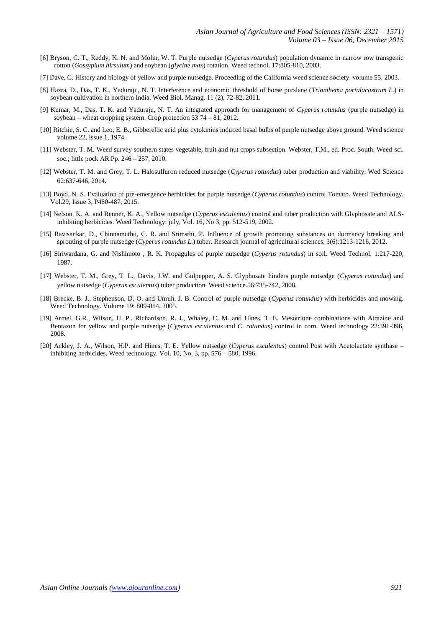- [6] Bryson, C. T., Reddy, K. N. and Molin, W. T. Purple nutsedge (*Cyperus rotundus*) population dynamic in narrow row transgenic cotton (*Gossypium hirsulum*) and soybean (*glycine max*) rotation. Weed technol. 17:805-810, 2003.
- [7] Dave, C. History and biology of yellow and purple nutsedge. Proceeding of the California weed science society. volume 55, 2003.
- [8] Hazra, D., Das, T. K., Yaduraju, N. T. Interference and economic threshold of horse purslane (*Trianthema portulacastrum L*.) in soybean cultivation in northern India. Weed Biol. Manag. 11 (2), 72-82, 2011.
- [9] Kumar, M., Das, T. K. and Yaduraju, N. T. An integrated approach for management of *Cyperus rotundus* (purple nutsedge) in soybean – wheat cropping system. Crop protection  $3\overline{3}$  74 –  $8\overline{1}$ , 2012.
- [10] Ritchie, S. C. and Leo, E. B., Gibberellic acid plus cytokinins induced basal bulbs of purple nutsedge above ground. Weed science volume 22, issue 1, 1974.
- [11] Webster, T. M. Weed survey southern states vegetable, fruit and nut crops subsection. Webster, T.M., ed. Proc. South. Weed sci. soc.; little pock AR.Pp. 246 – 257, 2010.
- [12] Webster, T. M. and Grey, T. L. Halosulfuron reduced nutsedge (*Cyperus rotundus*) tuber production and viability. Wed Science 62:637-646, 2014.
- [13] Boyd, N. S. Evaluation of pre-emergence herbicides for purple nutsedge (*Cyperus rotundus*) control Tomato. Weed Technology. Vol.29, Issue 3, P480-487, 2015.
- [14] Nelson, K. A. and Renner, K. A., Yellow nutsedge (*Cyperus esculentus*) control and tuber production with Glyphosate and ALSinhibiting herbicides. Weed Technology: july, Vol. 16, No 3, pp. 512-519, 2002.
- [15] Ravisankar, D., Chinnamuthu, C. R. and Srimsthi, P. Influence of growth promoting substances on dormancy breaking and sprouting of purple nutsedge (*Cyperus rotundus L*.) tuber. Research journal of agricultural sciences, 3(6):1213-1216, 2012.
- [16] Siriwardana, G. and Nishimoto , R. K. Propagules of purple nutsedge (*Cyperus rotundus*) in soil. Weed Technol. 1:217-220, 1987.
- [17] Webster, T. M., Grey, T. L., Davis, J.W. and Gulpepper, A. S. Glyphosate hinders purple nutsedge (*Cyperus rotundus*) and yellow nutsedge (*Cyperus esculentus*) tuber production. Weed science.56:735-742, 2008.
- [18] Brecke, B. J., Stephenson, D. O. and Unruh, J. B. Control of purple nutsedge (*Cyperus rotundus*) with herbicides and mowing. Weed Technology. Volume 19: 809-814, 2005.
- [19] Armel, G.R., Wilson, H. P., Richardson, R. J., Whaley, C. M. and Hines, T. E. Mesotrione combinations with Atrazine and Bentazon for yellow and purple nutsedge (*Cyperus esculentus* and *C. rotundus*) control in corn. Weed technology 22:391-396, 2008.
- [20] Ackley, J. A., Wilson, H.P. and Hines, T. E. Yellow nutsedge (*Cyperus esculentus*) control Post with Acetolactate synthase inhibiting herbicides. Weed technology. Vol. 10, No. 3, pp. 576 – 580, 1996.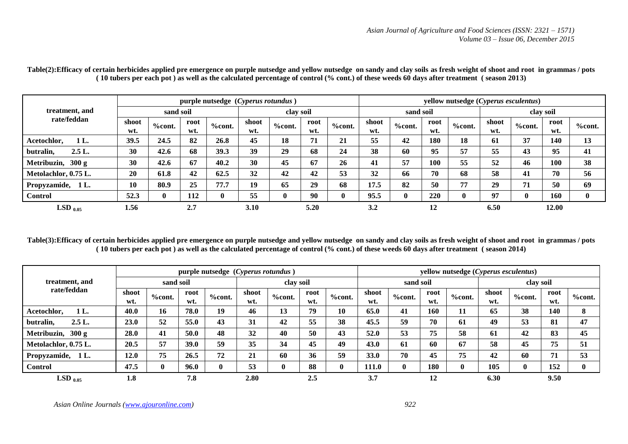|                       |              |           |             | purple nutsedge (Cyperus rotundus) |              |               |             |               | yellow nutsedge (Cyperus esculentus) |               |             |           |              |           |             |              |  |
|-----------------------|--------------|-----------|-------------|------------------------------------|--------------|---------------|-------------|---------------|--------------------------------------|---------------|-------------|-----------|--------------|-----------|-------------|--------------|--|
| treatment, and        | sand soil    |           |             |                                    | clay soil    |               |             |               |                                      | sand soil     |             |           | clay soil    |           |             |              |  |
| rate/feddan           | shoot<br>wt. | $%$ cont. | root<br>wt. | <b>%cont.</b>                      | shoot<br>wt. | <b>%cont.</b> | root<br>wt. | <b>%cont.</b> | shoot<br>wt.                         | <b>%cont.</b> | root<br>wt. | $%$ cont. | shoot<br>wt. | $%$ cont. | root<br>wt. | $%$ cont.    |  |
| $1L$ .<br>Acetochlor, | 39.5         | 24.5      | 82          | 26.8                               | 45           | 18            | 71          | 21            | 55                                   | 42            | 180         | 18        | 61           | 37        | 140         | 13           |  |
| 2.5L.<br>butralin,    | 30           | 42.6      | 68          | 39.3                               | 39           | 29            | 68          | 24            | 38                                   | 60            | 95          | 57        | 55           | 43        | 95          | 41           |  |
| Metribuzin, 300 g     | 30           | 42.6      | 67          | 40.2                               | 30           | 45            | 67          | 26            | 41                                   | 57            | 100         | 55        | 52           | 46        | 100         | 38           |  |
| Metolachlor, 0.75 L.  | 20           | 61.8      | 42          | 62.5                               | 32           | 42            | 42          | 53            | 32                                   | 66            | 70          | 68        | 58           | 41        | 70          | 56           |  |
| Propyzamide,<br>1 L.  | 10           | 80.9      | 25          | 77.7                               | 19           | 65            | 29          | 68            | 17.5                                 | 82            | 50          | 77        | 29           | 71        | 50          | 69           |  |
| Control               | 52.3         | $\bf{0}$  | 112         |                                    | 55           |               | 90          | $\mathbf{0}$  | 95.5                                 | $\mathbf{0}$  | 220         | $\bf{0}$  | 97           | $\bf{0}$  | 160         | $\mathbf{0}$ |  |
| $LSD_{0.05}$          | 1.56         |           | 2.7         |                                    | 3.10         |               | 5.20        |               | 3.2                                  |               | 12          |           | 6.50         |           | 12.00       |              |  |

Table(2): Efficacy of certain herbicides applied pre emergence on purple nutsedge and yellow nutsedge on sandy and clay soils as fresh weight of shoot and root in grammas / pots **( 10 tubers per each pot ) as well as the calculated percentage of control (% cont.) of these weeds 60 days after treatment ( season 2013)**

**Table(3):Efficacy of certain herbicides applied pre emergence on purple nutsedge and yellow nutsedge on sandy and clay soils as fresh weight of shoot and root in grammas / pots ( 10 tubers per each pot ) as well as the calculated percentage of control (% cont.) of these weeds 60 days after treatment ( season 2014)**

|                      |              |           |             | purple nutsedge (Cyperus rotundus) |              |               |             |               | yellow nutsedge (Cyperus esculentus) |              |             |           |              |              |             |               |  |
|----------------------|--------------|-----------|-------------|------------------------------------|--------------|---------------|-------------|---------------|--------------------------------------|--------------|-------------|-----------|--------------|--------------|-------------|---------------|--|
| treatment, and       |              | sand soil |             |                                    | clay soil    |               |             |               | sand soil                            |              |             | clay soil |              |              |             |               |  |
| rate/feddan          | shoot<br>wt. | $%$ cont. | root<br>wt. | $%$ cont.                          | shoot<br>wt. | <b>%cont.</b> | root<br>wt. | <b>%cont.</b> | shoot<br>wt.                         | $%$ cont.    | root<br>wt. | $%$ cont. | shoot<br>wt. | $%$ cont.    | root<br>wt. | <b>%cont.</b> |  |
| 1 L.<br>Acetochlor.  | 40.0         | 16        | 78.0        | 19                                 | 46           | 13            | 79          | 10            | 65.0                                 | 41           | 160         | 11        | 65           | 38           | 140         | 8             |  |
| 2.5L.<br>butralin,   | 23.0         | 52        | 55.0        | 43                                 | 31           | 42            | 55          | 38            | 45.5                                 | 59           | 70          | 61        | 49           | 53           | 81          | 47            |  |
| Metribuzin, 300 g    | 28.0         | 41        | 50.0        | 48                                 | 32           | 40            | 50          | 43            | 52.0                                 | 53           | 75          | 58        | 61           | 42           | 83          | 45            |  |
| Metolachlor, 0.75 L. | 20.5         | 57        | 39.0        | 59                                 | 35           | 34            | 45          | 49            | 43.0                                 | 61           | 60          | 67        | 58           | 45           | 75          | 51            |  |
| Propyzamide, 1L.     | 12.0         | 75        | 26.5        | 72                                 | 21           | 60            | 36          | 59            | 33.0                                 | 70           | 45          | 75        | 42           | 60           | 71          | 53            |  |
| <b>Control</b>       | 47.5         | 0         | 96.0        |                                    | 53           | $\mathbf{0}$  | 88          | 0             | 111.0                                | $\mathbf{0}$ | 180         |           | 105          | $\mathbf{0}$ | 152         | $\bf{0}$      |  |
| $LSD_{0.05}$         | 1.8          |           | 7.8         |                                    | 2.80         |               | 2.5         |               | 3.7                                  |              | 12          |           | 6.30         |              | 9.50        |               |  |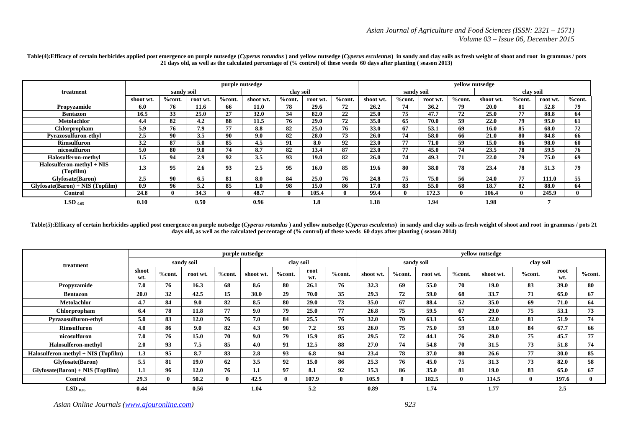|                                        |           |            |          |           | purple nutsedge |           |          |        | yellow nutsedge |              |          |           |             |               |          |        |  |
|----------------------------------------|-----------|------------|----------|-----------|-----------------|-----------|----------|--------|-----------------|--------------|----------|-----------|-------------|---------------|----------|--------|--|
| treatment                              |           | sandy soil |          |           |                 | clay soil |          |        |                 | sandy soil   |          |           | clay soil   |               |          |        |  |
|                                        | shoot wt. | %cont.     | root wt. | $%$ cont. | shoot wt.       | %cont.    | root wt. | %cont. | shoot wt.       | %cont.       | root wt. | $%$ cont. | shoot wt.   | <b>%cont.</b> | root wt. | %cont. |  |
| Propyzamide                            | 6.0       | 76         | 11.6     | 66        | 11.0            | 78        | 29.6     | 72     | 26.2            | 74           | 36.2     | 79        | <b>20.0</b> | 81            | 52.8     | 79.    |  |
| <b>Bentazon</b>                        | 16.5      | 33         | 25.0     | 27        | 32.0            | 34        | 82.0     | 22     | 25.0            | 75           | 47.7     | 72        | 25.0        | 77            | 88.8     | 64     |  |
| <b>Metolachlor</b>                     | 4.4       | 82         | 4.2      | 88        | 11.5            | 76        | 29.0     | 72     | 35.0            | 65           | 70.0     | 59        | 22.0        | 79            | 95.0     | 61     |  |
| Chlorpropham                           | 5.9       | 76         | 7.9      | 77        | 8.8             | 82        | 25.0     | 76     | 33.0            | 67           | 53.1     | 69        | 16.0        | 85            | 68.0     | 72     |  |
| <b>Pyrazosulfuron-ethyl</b>            | 2.5       | 90         | 3.5      | 90        | 9.0             | 82        | 28.0     | 73     | 26.0            | 74           | 58.0     | 66        | 21.0        | 80            | 84.8     | 66     |  |
| <b>Rimsulfuron</b>                     | 3.2       | 87         | 5.0      | 85        | 4.5             | 91        | 8.0      | 92     | 23.0            | 77           | 71.0     | 59        | 15.0        | 86            | 98.0     | 60     |  |
| nicosulfuron                           | 5.0       | 80         | 9.0      | 74        | 8.7             | 82        | 13.4     | 87     | 23.0            | 77           | 45.0     | 74        | 23.5        | 78            | 59.5     | 76     |  |
| Halosulferon-methyl                    | 1.5       | 94         | 2.9      | 92        | 3.5             | 93        | 19.0     | 82     | 26.0            | 74           | 49.3     | 71        | 22.0        | 79            | 75.0     | 69     |  |
| Halosulferon-methyl + NIS<br>(Topfilm) | 1.3       | 95         | 2.6      | 93        | 2.5             | 95        | 16.0     | 85     | 19.6            | 80           | 38.0     | 78        | 23.4        | 78            | 51.3     | 79     |  |
| <b>Glyfosate</b> (Baron)               | 2.5       | 90         | 6.5      | 81        | 8.0             | 84        | 25.0     | 76     | 24.8            | 75           | 75.0     | 56        | 24.0        | 77            | 111.0    | 55     |  |
| $Glyfosate(Baron) + NIS (Topfilm)$     | 0.9       | 96         | 5.2      | 85        | 1.0             | 98        | 15.0     | 86     | 17.0            | 83           | 55.0     | 68        | 18.7        | 82            | 88.0     | 64     |  |
| <b>Control</b>                         | 24.8      |            | 34.3     |           | 48.7            |           | 105.4    |        | 99.4            | $\mathbf{0}$ | 172.3    |           | 106.4       |               | 245.9    |        |  |
| $LSD$ 0.05                             | 0.10      |            | 0.50     |           | 0.96            |           | 1.8      |        | 1.18            |              | 1.94     |           | 1.98        |               |          |        |  |

Table(4):Efficacy of certain herbicides applied post emergence on purple nutsedge (Cyperus rotundus) and yellow nutsedge (Cyperus esculentus) in sandy and clay soils as fresh weight of shoot and root in grammas / pots **21 days old, as well as the calculated percentage of (% control) of these weeds 60 days after planting ( season 2013)**

Table(5):Efficacy of certain herbicides applied post emergence on purple nutsedge (Cyperus rotundus) and yellow nutsedge (Cyperus esculentus) in sandy and clay soils as fresh weight of shoot and root in grammas / pots 21 **days old, as well as the calculated percentage of (% control) of these weeds 60 days after planting ( season 2014)**

|                                       |              |               |             |              | purple nutsedge |               |             |        | yellow nutsedge |        |            |             |             |              |             |           |  |
|---------------------------------------|--------------|---------------|-------------|--------------|-----------------|---------------|-------------|--------|-----------------|--------|------------|-------------|-------------|--------------|-------------|-----------|--|
| treatment                             |              |               | sandy soil  |              |                 |               | clay soil   |        |                 |        | sandy soil |             |             | clay soil    |             |           |  |
|                                       | shoot<br>wt. | <b>%cont.</b> | root wt.    | %cont.       | shoot wt.       | <b>%cont.</b> | root<br>wt. | %cont. | shoot wt.       | %cont. | root wt.   | %cont.      | shoot wt.   | $%$ cont.    | root<br>wt. | $%$ cont. |  |
| Propyzamide                           | 7.0          | 76            | 16.3        | 68           | 8.6             | 80            | 26.1        | 76     | 32.3            | 69     | 55.0       | 70          | 19.0        | 83           | <b>39.0</b> | 80        |  |
| <b>Bentazon</b>                       | 20.0         | 32            | 42.5        | 15           | 30.0            | 29            | 70.0        | 35     | 29.3            | 72     | 59.0       | 68          | 33.7        | 71           | 65.0        | 67        |  |
| <b>Metolachlor</b>                    | 4.7          | 84            | 9.0         | 82           | 8.5             | 80            | 29.0        | 73     | 35.0            | 67     | 88.4       | 52          | 35.0        | 69           | 71.0        | 64        |  |
| Chlorpropham                          | 6.4          | 78            | 11.8        | 77           | 9.0             | 79            | 25.0        | 77     | 26.8            | 75     | 59.5       | 67          | 29.0        | 75           | 53.1        | 73        |  |
| <b>Pyrazosulfuron-ethyl</b>           | 5.0          | 83            | 12.0        | 76           | 7.0             | 84            | 25.5        | 76     | 32.0            | 70     | 63.1       | 65          | 22.0        | 81           | 51.9        | 74        |  |
| Rimsulfuron                           | 4.0          | 86            | 9.0         | 82           | 4.3             | 90            | 7.2         | 93     | 26.0            | 75     | 75.0       | 59          | 18.0        | 84           | 67.7        | 66        |  |
| nicosulfuron                          | 7.0          | 76            | 15.0        | 70           | 9.0             | 79            | 15.9        | 85     | 29.5            | 72     | 44.1       | 76          | <b>29.0</b> | 75           | 45.7        | 77        |  |
| <b>Halosulferon-methyl</b>            | 2.0          | 93            | 7.5         | 85           | 4.0             | 91            | 12.5        | 88     | 27.0            | 74     | 54.8       | 70          | 31.5        | 73           | 51.8        | 74        |  |
| $Halosulferon-methyl + NIS (Topfilm)$ | 1.3          | 95            | 8.7         | 83           | 2.8             | 93            | 6.8         | 94     | 23.4            | 78     | 37.0       | 80          | 26.6        | 77           | <b>30.0</b> | 85        |  |
| <b>Glyfosate</b> (Baron)              | 5.5          | 81            | <b>19.0</b> | 62           | 3.5             | 92            | 15.0        | 86     | 25.3            | 76     | 45.0       | 75          | 31.3        | 73           | 82.0        | 58        |  |
| $Glyfosate(Baron) + NIS (Topfilm)$    | 1.1          | 96            | 12.0        | 76           | 1.1             | 97            | 8.1         | 92     | 15.3            | 86     | 35.0       | 81          | 19.0        | 83           | 65.0        | 67        |  |
| <b>Control</b>                        | 29.3         |               | 50.2        | $\mathbf{0}$ | 42.5            | 0             | 107.9       | 0      | 105.9           | o      | 182.5      | $\mathbf 0$ | 114.5       | $\mathbf{0}$ | 197.6       | 0         |  |
| $LSD_{0.05}$                          | 0.44         |               | 0.56        |              | 1.04            |               | 5.2         |        | 0.89            |        | 1.74       |             | 1.77        |              | 2.5         |           |  |

*Asian Online Journals (www.ajouronline.com) 923*